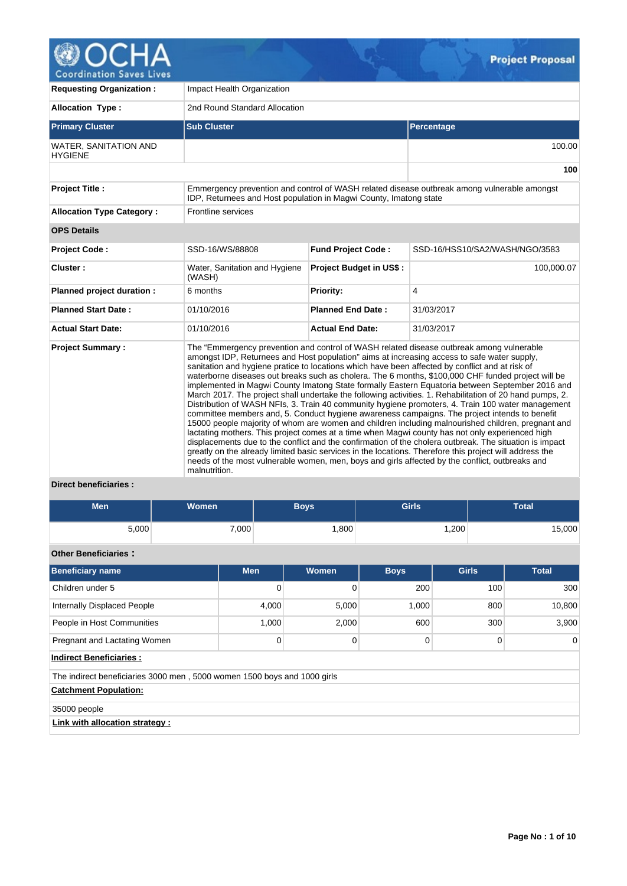

**Requesting Organization :** Impact Health Organization Allocation Type : 2nd Round Standard Allocation **Primary Cluster Sub Cluster Sub Cluster** Sub Cluster Sub Cluster Sub Cluster Sub Cluster Sub Cluster Sub Cluster WATER, SANITATION AND **HYGIENE** 100.00 **100 Project Title :** Emmergency prevention and control of WASH related disease outbreak among vulnerable amongst IDP, Returnees and Host population in Magwi County, Imatong state Allocation Type Category : Frontline services **OPS Details**  Project Code : SSD-16/WS/88808 Fund Project Code : SSD-16/HSS10/SA2/WASH/NGO/3583 **Cluster :** Water, Sanitation and Hygiene (WASH) **Project Budget in US\$ :**  $\vert$  100,000.07 **Planned project duration :** 6 months **Priority: Priority:** 4 **Planned Start Date :** 01/10/2016 **Planned End Date :** 31/03/2017 **Actual Start Date:** 01/10/2016 **Actual End Date:** 31/03/2017 **Project Summary :** The "Emmergency prevention and control of WASH related disease outbreak among vulnerable amongst IDP, Returnees and Host population" aims at increasing access to safe water supply, sanitation and hygiene pratice to locations which have been affected by conflict and at risk of waterborne diseases out breaks such as cholera. The 6 months, \$100,000 CHF funded project will be implemented in Magwi County Imatong State formally Eastern Equatoria between September 2016 and March 2017. The project shall undertake the following activities. 1. Rehabilitation of 20 hand pumps, 2. Distribution of WASH NFIs, 3. Train 40 community hygiene promoters, 4. Train 100 water management committee members and, 5. Conduct hygiene awareness campaigns. The project intends to benefit 15000 people majority of whom are women and children including malnourished children, pregnant and lactating mothers. This project comes at a time when Magwi county has not only experienced high displacements due to the conflict and the confirmation of the cholera outbreak. The situation is impact greatly on the already limited basic services in the locations. Therefore this project will address the needs of the most vulnerable women, men, boys and girls affected by the conflict, outbreaks and malnutrition.

## **Direct beneficiaries :**

| <b>Men</b> | <b>Women</b> | Boys | <b>Girls</b> | <b>Total</b> |
|------------|--------------|------|--------------|--------------|
| 5,000      | 7,000        | ,800 | ,200         | 15,000       |

## **Other Beneficiaries :**

| Beneficiary name                                                         | <b>Men</b> | Women | <b>Boys</b> | <b>Girls</b> | <b>Total</b> |  |  |  |  |  |  |  |
|--------------------------------------------------------------------------|------------|-------|-------------|--------------|--------------|--|--|--|--|--|--|--|
| Children under 5                                                         | 0          | 0     | 200         | 100          | 300          |  |  |  |  |  |  |  |
| Internally Displaced People                                              | 4,000      | 5,000 | 1,000       | 800          | 10,800       |  |  |  |  |  |  |  |
| People in Host Communities                                               | 1,000      | 2,000 | 600<br>300  |              | 3,900        |  |  |  |  |  |  |  |
| Pregnant and Lactating Women                                             | 0          | 0     | 0           | $\Omega$     | $\Omega$     |  |  |  |  |  |  |  |
| <b>Indirect Beneficiaries:</b>                                           |            |       |             |              |              |  |  |  |  |  |  |  |
| The indirect beneficiaries 3000 men, 5000 women 1500 boys and 1000 girls |            |       |             |              |              |  |  |  |  |  |  |  |
| <b>Catchment Population:</b>                                             |            |       |             |              |              |  |  |  |  |  |  |  |
| 35000 people                                                             |            |       |             |              |              |  |  |  |  |  |  |  |
| Link with allocation strategy :                                          |            |       |             |              |              |  |  |  |  |  |  |  |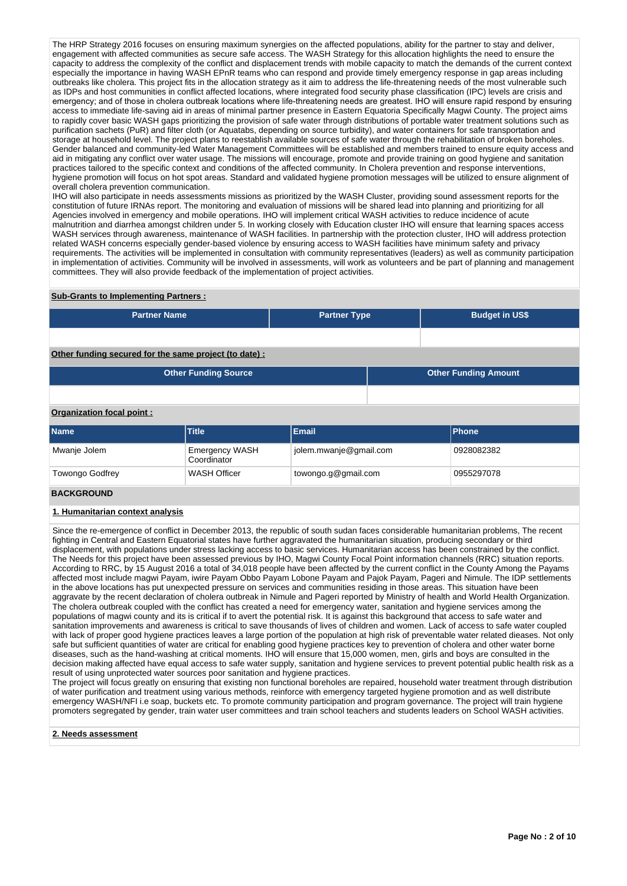The HRP Strategy 2016 focuses on ensuring maximum synergies on the affected populations, ability for the partner to stay and deliver, engagement with affected communities as secure safe access. The WASH Strategy for this allocation highlights the need to ensure the capacity to address the complexity of the conflict and displacement trends with mobile capacity to match the demands of the current context especially the importance in having WASH EPnR teams who can respond and provide timely emergency response in gap areas including outbreaks like cholera. This project fits in the allocation strategy as it aim to address the life-threatening needs of the most vulnerable such as IDPs and host communities in conflict affected locations, where integrated food security phase classification (IPC) levels are crisis and emergency; and of those in cholera outbreak locations where life-threatening needs are greatest. IHO will ensure rapid respond by ensuring access to immediate life-saving aid in areas of minimal partner presence in Eastern Equatoria Specifically Magwi County. The project aims to rapidly cover basic WASH gaps prioritizing the provision of safe water through distributions of portable water treatment solutions such as purification sachets (PuR) and filter cloth (or Aquatabs, depending on source turbidity), and water containers for safe transportation and storage at household level. The project plans to reestablish available sources of safe water through the rehabilitation of broken boreholes. Gender balanced and community-led Water Management Committees will be established and members trained to ensure equity access and aid in mitigating any conflict over water usage. The missions will encourage, promote and provide training on good hygiene and sanitation practices tailored to the specific context and conditions of the affected community. In Cholera prevention and response interventions, hygiene promotion will focus on hot spot areas. Standard and validated hygiene promotion messages will be utilized to ensure alignment of overall cholera prevention communication.

IHO will also participate in needs assessments missions as prioritized by the WASH Cluster, providing sound assessment reports for the constitution of future IRNAs report. The monitoring and evaluation of missions will be shared lead into planning and prioritizing for all Agencies involved in emergency and mobile operations. IHO will implement critical WASH activities to reduce incidence of acute malnutrition and diarrhea amongst children under 5. In working closely with Education cluster IHO will ensure that learning spaces access WASH services through awareness, maintenance of WASH facilities. In partnership with the protection cluster, IHO will address protection related WASH concerns especially gender-based violence by ensuring access to WASH facilities have minimum safety and privacy requirements. The activities will be implemented in consultation with community representatives (leaders) as well as community participation in implementation of activities. Community will be involved in assessments, will work as volunteers and be part of planning and management committees. They will also provide feedback of the implementation of project activities.

#### **Sub-Grants to Implementing Partners :**

| <b>Partner Name</b>                                   | <b>Partner Type</b> |  | <b>Budget in US\$</b>       |
|-------------------------------------------------------|---------------------|--|-----------------------------|
|                                                       |                     |  |                             |
| Other funding secured for the same project (to date): |                     |  |                             |
| <b>Other Funding Source</b>                           |                     |  | <b>Other Funding Amount</b> |
|                                                       |                     |  |                             |

#### **Organization focal point :**

| <b>Name</b>     | <b>Email</b><br><b>Title</b>  |                        |            |  |  |  |  |
|-----------------|-------------------------------|------------------------|------------|--|--|--|--|
| Mwanje Jolem    | Emergency WASH<br>Coordinator | jolem.mwanje@gmail.com | 0928082382 |  |  |  |  |
| Towongo Godfrey | WASH Officer                  | towongo.g@gmail.com    | 0955297078 |  |  |  |  |

#### **BACKGROUND**

#### **1. Humanitarian context analysis**

Since the re-emergence of conflict in December 2013, the republic of south sudan faces considerable humanitarian problems, The recent fighting in Central and Eastern Equatorial states have further aggravated the humanitarian situation, producing secondary or third displacement, with populations under stress lacking access to basic services. Humanitarian access has been constrained by the conflict. The Needs for this project have been assessed previous by IHO, Magwi County Focal Point information channels (RRC) situation reports. According to RRC, by 15 August 2016 a total of 34,018 people have been affected by the current conflict in the County Among the Payams affected most include magwi Payam, iwire Payam Obbo Payam Lobone Payam and Pajok Payam, Pageri and Nimule. The IDP settlements in the above locations has put unexpected pressure on services and communities residing in those areas. This situation have been aggravate by the recent declaration of cholera outbreak in Nimule and Pageri reported by Ministry of health and World Health Organization. The cholera outbreak coupled with the conflict has created a need for emergency water, sanitation and hygiene services among the populations of magwi county and its is critical if to avert the potential risk. It is against this background that access to safe water and sanitation improvements and awareness is critical to save thousands of lives of children and women. Lack of access to safe water coupled with lack of proper good hygiene practices leaves a large portion of the population at high risk of preventable water related dieases. Not only safe but sufficient quantities of water are critical for enabling good hygiene practices key to prevention of cholera and other water borne diseases, such as the hand-washing at critical moments. IHO will ensure that 15,000 women, men, girls and boys are consulted in the decision making affected have equal access to safe water supply, sanitation and hygiene services to prevent potential public health risk as a result of using unprotected water sources poor sanitation and hygiene practices.

The project will focus greatly on ensuring that existing non functional boreholes are repaired, household water treatment through distribution of water purification and treatment using various methods, reinforce with emergency targeted hygiene promotion and as well distribute emergency WASH/NFI i.e soap, buckets etc. To promote community participation and program governance. The project will train hygiene promoters segregated by gender, train water user committees and train school teachers and students leaders on School WASH activities.

#### **2. Needs assessment**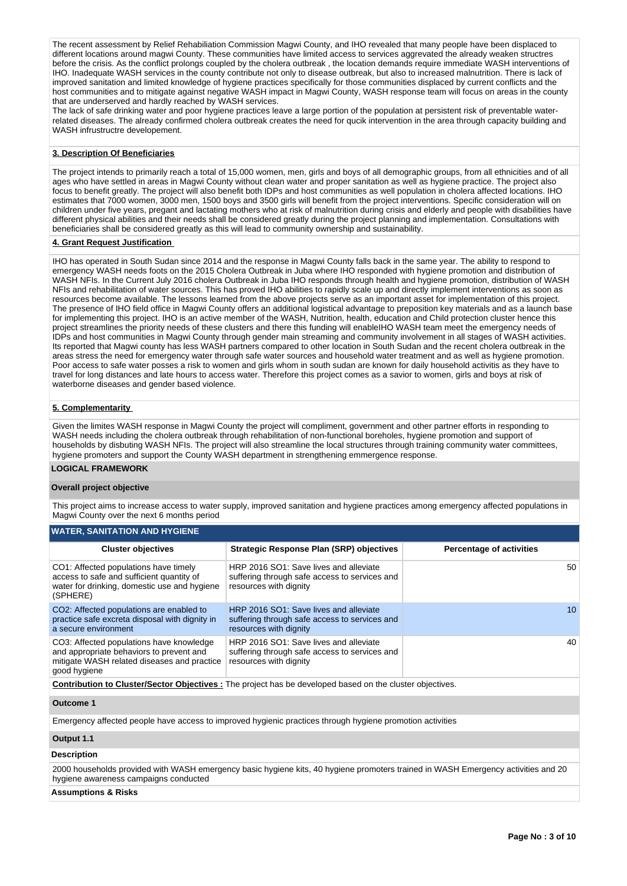The recent assessment by Relief Rehabiliation Commission Magwi County, and IHO revealed that many people have been displaced to different locations around magwi County. These communities have limited access to services aggrevated the already weaken structres before the crisis. As the conflict prolongs coupled by the cholera outbreak , the location demands require immediate WASH interventions of IHO. Inadequate WASH services in the county contribute not only to disease outbreak, but also to increased malnutrition. There is lack of improved sanitation and limited knowledge of hygiene practices specifically for those communities displaced by current conflicts and the host communities and to mitigate against negative WASH impact in Magwi County, WASH response team will focus on areas in the county that are underserved and hardly reached by WASH services.

The lack of safe drinking water and poor hygiene practices leave a large portion of the population at persistent risk of preventable waterrelated diseases. The already confirmed cholera outbreak creates the need for qucik intervention in the area through capacity building and WASH infrustructre developement.

#### **3. Description Of Beneficiaries**

The project intends to primarily reach a total of 15,000 women, men, girls and boys of all demographic groups, from all ethnicities and of all ages who have settled in areas in Magwi County without clean water and proper sanitation as well as hygiene practice. The project also focus to benefit greatly. The project will also benefit both IDPs and host communities as well population in cholera affected locations. IHO estimates that 7000 women, 3000 men, 1500 boys and 3500 girls will benefit from the project interventions. Specific consideration will on children under five years, pregant and lactating mothers who at risk of malnutrition during crisis and elderly and people with disabilities have different physical abilities and their needs shall be considered greatly during the project planning and implementation. Consultations with beneficiaries shall be considered greatly as this will lead to community ownership and sustainability.

#### **4. Grant Request Justification**

IHO has operated in South Sudan since 2014 and the response in Magwi County falls back in the same year. The ability to respond to emergency WASH needs foots on the 2015 Cholera Outbreak in Juba where IHO responded with hygiene promotion and distribution of WASH NFIs. In the Current July 2016 cholera Outbreak in Juba IHO responds through health and hygiene promotion, distribution of WASH NFIs and rehabilitation of water sources. This has proved IHO abilities to rapidly scale up and directly implement interventions as soon as resources become available. The lessons learned from the above projects serve as an important asset for implementation of this project. The presence of IHO field office in Magwi County offers an additional logistical advantage to preposition key materials and as a launch base for implementing this project. IHO is an active member of the WASH, Nutrition, health, education and Child protection cluster hence this project streamlines the priority needs of these clusters and there this funding will enableIHO WASH team meet the emergency needs of IDPs and host communities in Magwi County through gender main streaming and community involvement in all stages of WASH activities. Its reported that Magwi county has less WASH partners compared to other location in South Sudan and the recent cholera outbreak in the areas stress the need for emergency water through safe water sources and household water treatment and as well as hygiene promotion. Poor access to safe water posses a risk to women and girls whom in south sudan are known for daily household activitis as they have to travel for long distances and late hours to access water. Therefore this project comes as a savior to women, girls and boys at risk of waterborne diseases and gender based violence.

## **5. Complementarity**

Given the limites WASH response in Magwi County the project will compliment, government and other partner efforts in responding to WASH needs including the cholera outbreak through rehabilitation of non-functional boreholes, hygiene promotion and support of households by disbuting WASH NFIs. The project will also streamline the local structures through training community water committees, hygiene promoters and support the County WASH department in strengthening emmergence response.

## **LOGICAL FRAMEWORK**

#### **Overall project objective**

This project aims to increase access to water supply, improved sanitation and hygiene practices among emergency affected populations in Magwi County over the next 6 months period

#### **WATER, SANITATION AND HYGIENE**

| <b>Cluster objectives</b>                                                                                                                           | <b>Strategic Response Plan (SRP) objectives</b>                                                                   | <b>Percentage of activities</b> |  |  |  |  |  |  |  |  |  |
|-----------------------------------------------------------------------------------------------------------------------------------------------------|-------------------------------------------------------------------------------------------------------------------|---------------------------------|--|--|--|--|--|--|--|--|--|
| CO1: Affected populations have timely<br>access to safe and sufficient quantity of<br>water for drinking, domestic use and hygiene<br>(SPHERE)      | HRP 2016 SO1: Save lives and alleviate<br>suffering through safe access to services and<br>resources with dignity | 50                              |  |  |  |  |  |  |  |  |  |
| CO2: Affected populations are enabled to<br>practice safe excreta disposal with dignity in<br>a secure environment                                  | HRP 2016 SO1: Save lives and alleviate<br>suffering through safe access to services and<br>resources with dignity | 10 <sup>1</sup>                 |  |  |  |  |  |  |  |  |  |
| CO3: Affected populations have knowledge<br>and appropriate behaviors to prevent and<br>mitigate WASH related diseases and practice<br>good hygiene | HRP 2016 SO1: Save lives and alleviate<br>suffering through safe access to services and<br>resources with dignity | 40                              |  |  |  |  |  |  |  |  |  |
| Contribution to Cluster/Sector Objectives : The project has be developed based on the cluster objectives.                                           |                                                                                                                   |                                 |  |  |  |  |  |  |  |  |  |
| Outcome 1                                                                                                                                           |                                                                                                                   |                                 |  |  |  |  |  |  |  |  |  |

Emergency affected people have access to improved hygienic practices through hygiene promotion activities

#### **Output 1.1**

#### **Description**

2000 households provided with WASH emergency basic hygiene kits, 40 hygiene promoters trained in WASH Emergency activities and 20 hygiene awareness campaigns conducted

#### **Assumptions & Risks**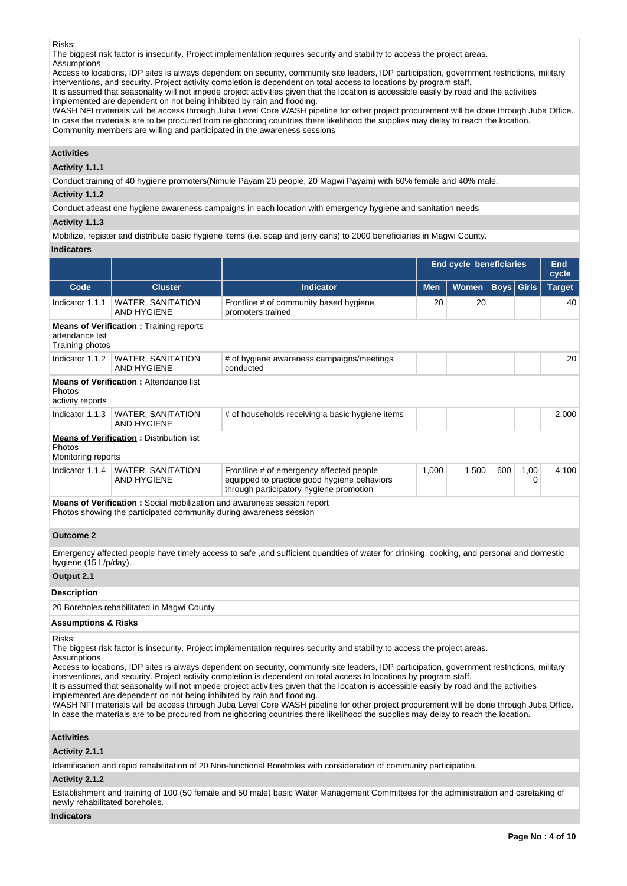Risks:

The biggest risk factor is insecurity. Project implementation requires security and stability to access the project areas. **Assumptions** 

Access to locations, IDP sites is always dependent on security, community site leaders, IDP participation, government restrictions, military interventions, and security. Project activity completion is dependent on total access to locations by program staff.

It is assumed that seasonality will not impede project activities given that the location is accessible easily by road and the activities implemented are dependent on not being inhibited by rain and flooding.

WASH NFI materials will be access through Juba Level Core WASH pipeline for other project procurement will be done through Juba Office. In case the materials are to be procured from neighboring countries there likelihood the supplies may delay to reach the location. Community members are willing and participated in the awareness sessions

#### **Activities**

## **Activity 1.1.1**

Conduct training of 40 hygiene promoters(Nimule Payam 20 people, 20 Magwi Payam) with 60% female and 40% male.

#### **Activity 1.1.2**

Conduct atleast one hygiene awareness campaigns in each location with emergency hygiene and sanitation needs

## **Activity 1.1.3**

Mobilize, register and distribute basic hygiene items (i.e. soap and jerry cans) to 2000 beneficiaries in Magwi County.

#### **Indicators**

|                                     |                                                                                |                                                                                                                                    | <b>End cycle beneficiaries</b> |              |                   | <b>End</b><br>cycle |               |
|-------------------------------------|--------------------------------------------------------------------------------|------------------------------------------------------------------------------------------------------------------------------------|--------------------------------|--------------|-------------------|---------------------|---------------|
| Code                                | <b>Cluster</b>                                                                 | <b>Indicator</b>                                                                                                                   | <b>Men</b>                     | <b>Women</b> | <b>Boys</b> Girls |                     | <b>Target</b> |
| Indicator 1.1.1                     | <b>WATER, SANITATION</b><br><b>AND HYGIENE</b>                                 | Frontline # of community based hygiene<br>promoters trained                                                                        | 20                             | 20           |                   |                     | 40            |
| attendance list<br>Training photos  | <b>Means of Verification:</b> Training reports                                 |                                                                                                                                    |                                |              |                   |                     |               |
| Indicator 1.1.2                     | <b>WATER, SANITATION</b><br><b>AND HYGIENE</b>                                 | # of hygiene awareness campaigns/meetings<br>conducted                                                                             |                                |              |                   |                     | 20            |
| <b>Photos</b><br>activity reports   | <b>Means of Verification:</b> Attendance list                                  |                                                                                                                                    |                                |              |                   |                     |               |
| Indicator 1.1.3                     | WATER, SANITATION<br>AND HYGIENE                                               | # of households receiving a basic hygiene items                                                                                    |                                |              |                   |                     | 2,000         |
| <b>Photos</b><br>Monitoring reports | <b>Means of Verification:</b> Distribution list                                |                                                                                                                                    |                                |              |                   |                     |               |
| Indicator 1.1.4                     | <b>WATER, SANITATION</b><br><b>AND HYGIENE</b>                                 | Frontline # of emergency affected people<br>equipped to practice good hygiene behaviors<br>through participatory hygiene promotion | 1,000                          | 1,500        | 600               | 1,00<br>0           | 4,100         |
|                                     | <b>Means of Verification:</b> Social mobilization and awareness session report |                                                                                                                                    |                                |              |                   |                     |               |

Photos showing the participated community during awareness session

#### **Outcome 2**

Emergency affected people have timely access to safe ,and sufficient quantities of water for drinking, cooking, and personal and domestic hygiene (15 L/p/day).

#### **Output 2.1**

#### **Description**

20 Boreholes rehabilitated in Magwi County

#### **Assumptions & Risks**

## Risks:

The biggest risk factor is insecurity. Project implementation requires security and stability to access the project areas.

**Assumptions** 

Access to locations, IDP sites is always dependent on security, community site leaders, IDP participation, government restrictions, military interventions, and security. Project activity completion is dependent on total access to locations by program staff. It is assumed that seasonality will not impede project activities given that the location is accessible easily by road and the activities

implemented are dependent on not being inhibited by rain and flooding.

WASH NFI materials will be access through Juba Level Core WASH pipeline for other project procurement will be done through Juba Office. In case the materials are to be procured from neighboring countries there likelihood the supplies may delay to reach the location.

## **Activities**

#### **Activity 2.1.1**

Identification and rapid rehabilitation of 20 Non-functional Boreholes with consideration of community participation.

## **Activity 2.1.2**

Establishment and training of 100 (50 female and 50 male) basic Water Management Committees for the administration and caretaking of newly rehabilitated boreholes.

### **Indicators**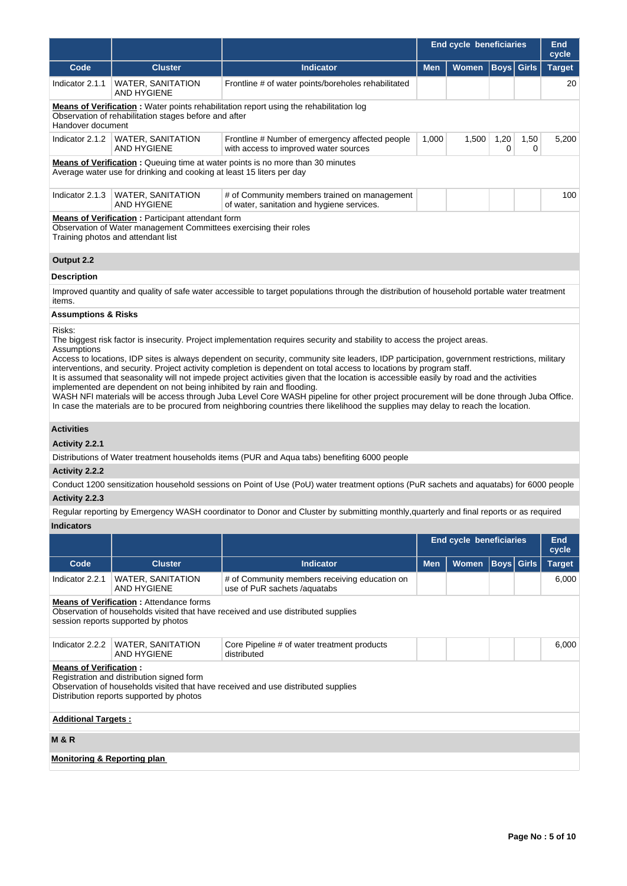|                                                                                                                                                                     |                                                                                       |                                                                                                                                                                                                                                                                                                                                                                                                                                                                                                                                                                                                                                                                                                                                                                                                                                  | <b>End cycle beneficiaries</b> | <b>End</b><br>cycle     |                   |              |                     |  |  |  |
|---------------------------------------------------------------------------------------------------------------------------------------------------------------------|---------------------------------------------------------------------------------------|----------------------------------------------------------------------------------------------------------------------------------------------------------------------------------------------------------------------------------------------------------------------------------------------------------------------------------------------------------------------------------------------------------------------------------------------------------------------------------------------------------------------------------------------------------------------------------------------------------------------------------------------------------------------------------------------------------------------------------------------------------------------------------------------------------------------------------|--------------------------------|-------------------------|-------------------|--------------|---------------------|--|--|--|
| Code                                                                                                                                                                | <b>Cluster</b>                                                                        | <b>Indicator</b>                                                                                                                                                                                                                                                                                                                                                                                                                                                                                                                                                                                                                                                                                                                                                                                                                 | <b>Men</b>                     | Women                   | <b>Boys</b>       | <b>Girls</b> | <b>Target</b>       |  |  |  |
| Indicator 2.1.1                                                                                                                                                     | <b>WATER, SANITATION</b><br><b>AND HYGIENE</b>                                        | Frontline # of water points/boreholes rehabilitated                                                                                                                                                                                                                                                                                                                                                                                                                                                                                                                                                                                                                                                                                                                                                                              |                                |                         |                   |              | 20                  |  |  |  |
| Handover document                                                                                                                                                   | Observation of rehabilitation stages before and after                                 | <b>Means of Verification</b> : Water points rehabilitation report using the rehabilitation log                                                                                                                                                                                                                                                                                                                                                                                                                                                                                                                                                                                                                                                                                                                                   |                                |                         |                   |              |                     |  |  |  |
|                                                                                                                                                                     | Indicator 2.1.2   WATER, SANITATION<br><b>AND HYGIENE</b>                             | Frontline # Number of emergency affected people<br>with access to improved water sources                                                                                                                                                                                                                                                                                                                                                                                                                                                                                                                                                                                                                                                                                                                                         | 1,000                          | 1,500                   | 1,20<br>0         | 1,50<br>0    | 5,200               |  |  |  |
|                                                                                                                                                                     | Average water use for drinking and cooking at least 15 liters per day                 | <b>Means of Verification:</b> Queuing time at water points is no more than 30 minutes                                                                                                                                                                                                                                                                                                                                                                                                                                                                                                                                                                                                                                                                                                                                            |                                |                         |                   |              |                     |  |  |  |
| Indicator 2.1.3                                                                                                                                                     | <b>WATER, SANITATION</b><br><b>AND HYGIENE</b>                                        | # of Community members trained on management<br>of water, sanitation and hygiene services.                                                                                                                                                                                                                                                                                                                                                                                                                                                                                                                                                                                                                                                                                                                                       |                                |                         |                   |              | 100                 |  |  |  |
| <b>Means of Verification:</b> Participant attendant form<br>Observation of Water management Committees exercising their roles<br>Training photos and attendant list |                                                                                       |                                                                                                                                                                                                                                                                                                                                                                                                                                                                                                                                                                                                                                                                                                                                                                                                                                  |                                |                         |                   |              |                     |  |  |  |
| Output 2.2                                                                                                                                                          |                                                                                       |                                                                                                                                                                                                                                                                                                                                                                                                                                                                                                                                                                                                                                                                                                                                                                                                                                  |                                |                         |                   |              |                     |  |  |  |
| <b>Description</b>                                                                                                                                                  |                                                                                       |                                                                                                                                                                                                                                                                                                                                                                                                                                                                                                                                                                                                                                                                                                                                                                                                                                  |                                |                         |                   |              |                     |  |  |  |
| items.                                                                                                                                                              |                                                                                       | Improved quantity and quality of safe water accessible to target populations through the distribution of household portable water treatment                                                                                                                                                                                                                                                                                                                                                                                                                                                                                                                                                                                                                                                                                      |                                |                         |                   |              |                     |  |  |  |
| <b>Assumptions &amp; Risks</b>                                                                                                                                      |                                                                                       |                                                                                                                                                                                                                                                                                                                                                                                                                                                                                                                                                                                                                                                                                                                                                                                                                                  |                                |                         |                   |              |                     |  |  |  |
| Risks:<br>Assumptions                                                                                                                                               | implemented are dependent on not being inhibited by rain and flooding.                | The biggest risk factor is insecurity. Project implementation requires security and stability to access the project areas.<br>Access to locations, IDP sites is always dependent on security, community site leaders, IDP participation, government restrictions, military<br>interventions, and security. Project activity completion is dependent on total access to locations by program staff.<br>It is assumed that seasonality will not impede project activities given that the location is accessible easily by road and the activities<br>WASH NFI materials will be access through Juba Level Core WASH pipeline for other project procurement will be done through Juba Office.<br>In case the materials are to be procured from neighboring countries there likelihood the supplies may delay to reach the location. |                                |                         |                   |              |                     |  |  |  |
| <b>Activities</b>                                                                                                                                                   |                                                                                       |                                                                                                                                                                                                                                                                                                                                                                                                                                                                                                                                                                                                                                                                                                                                                                                                                                  |                                |                         |                   |              |                     |  |  |  |
| Activity 2.2.1                                                                                                                                                      |                                                                                       |                                                                                                                                                                                                                                                                                                                                                                                                                                                                                                                                                                                                                                                                                                                                                                                                                                  |                                |                         |                   |              |                     |  |  |  |
|                                                                                                                                                                     |                                                                                       | Distributions of Water treatment households items (PUR and Aqua tabs) benefiting 6000 people                                                                                                                                                                                                                                                                                                                                                                                                                                                                                                                                                                                                                                                                                                                                     |                                |                         |                   |              |                     |  |  |  |
| Activity 2.2.2                                                                                                                                                      |                                                                                       |                                                                                                                                                                                                                                                                                                                                                                                                                                                                                                                                                                                                                                                                                                                                                                                                                                  |                                |                         |                   |              |                     |  |  |  |
| Activity 2.2.3                                                                                                                                                      |                                                                                       | Conduct 1200 sensitization household sessions on Point of Use (PoU) water treatment options (PuR sachets and aquatabs) for 6000 people                                                                                                                                                                                                                                                                                                                                                                                                                                                                                                                                                                                                                                                                                           |                                |                         |                   |              |                     |  |  |  |
|                                                                                                                                                                     |                                                                                       | Regular reporting by Emergency WASH coordinator to Donor and Cluster by submitting monthly, quarterly and final reports or as required                                                                                                                                                                                                                                                                                                                                                                                                                                                                                                                                                                                                                                                                                           |                                |                         |                   |              |                     |  |  |  |
| <b>Indicators</b>                                                                                                                                                   |                                                                                       |                                                                                                                                                                                                                                                                                                                                                                                                                                                                                                                                                                                                                                                                                                                                                                                                                                  |                                |                         |                   |              |                     |  |  |  |
|                                                                                                                                                                     |                                                                                       |                                                                                                                                                                                                                                                                                                                                                                                                                                                                                                                                                                                                                                                                                                                                                                                                                                  |                                | End cycle beneficiaries |                   |              | <b>End</b><br>cycle |  |  |  |
| Code                                                                                                                                                                | <b>Cluster</b>                                                                        | <b>Indicator</b>                                                                                                                                                                                                                                                                                                                                                                                                                                                                                                                                                                                                                                                                                                                                                                                                                 | <b>Men</b>                     | <b>Women</b>            | <b>Boys</b> Girls |              | <b>Target</b>       |  |  |  |
| Indicator 2.2.1                                                                                                                                                     | <b>WATER, SANITATION</b><br><b>AND HYGIENE</b>                                        | # of Community members receiving education on<br>use of PuR sachets /aquatabs                                                                                                                                                                                                                                                                                                                                                                                                                                                                                                                                                                                                                                                                                                                                                    |                                |                         |                   |              | 6,000               |  |  |  |
|                                                                                                                                                                     | <b>Means of Verification:</b> Attendance forms<br>session reports supported by photos | Observation of households visited that have received and use distributed supplies                                                                                                                                                                                                                                                                                                                                                                                                                                                                                                                                                                                                                                                                                                                                                |                                |                         |                   |              |                     |  |  |  |
| Indicator 2.2.2                                                                                                                                                     | <b>WATER, SANITATION</b><br><b>AND HYGIENE</b>                                        | Core Pipeline # of water treatment products<br>distributed                                                                                                                                                                                                                                                                                                                                                                                                                                                                                                                                                                                                                                                                                                                                                                       |                                |                         |                   |              | 6,000               |  |  |  |
| <b>Means of Verification:</b>                                                                                                                                       | Registration and distribution signed form<br>Distribution reports supported by photos | Observation of households visited that have received and use distributed supplies                                                                                                                                                                                                                                                                                                                                                                                                                                                                                                                                                                                                                                                                                                                                                |                                |                         |                   |              |                     |  |  |  |
| <b>Additional Targets:</b>                                                                                                                                          |                                                                                       |                                                                                                                                                                                                                                                                                                                                                                                                                                                                                                                                                                                                                                                                                                                                                                                                                                  |                                |                         |                   |              |                     |  |  |  |
| <b>M&amp;R</b>                                                                                                                                                      |                                                                                       |                                                                                                                                                                                                                                                                                                                                                                                                                                                                                                                                                                                                                                                                                                                                                                                                                                  |                                |                         |                   |              |                     |  |  |  |
| <b>Monitoring &amp; Reporting plan</b>                                                                                                                              |                                                                                       |                                                                                                                                                                                                                                                                                                                                                                                                                                                                                                                                                                                                                                                                                                                                                                                                                                  |                                |                         |                   |              |                     |  |  |  |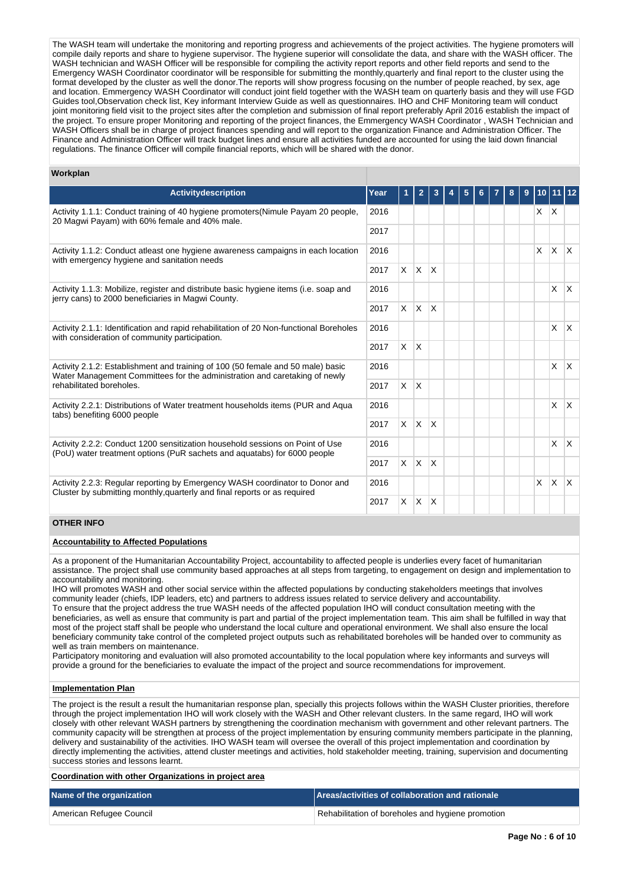The WASH team will undertake the monitoring and reporting progress and achievements of the project activities. The hygiene promoters will compile daily reports and share to hygiene supervisor. The hygiene superior will consolidate the data, and share with the WASH officer. The WASH technician and WASH Officer will be responsible for compiling the activity report reports and other field reports and send to the Emergency WASH Coordinator coordinator will be responsible for submitting the monthly,quarterly and final report to the cluster using the format developed by the cluster as well the donor.The reports will show progress focusing on the number of people reached, by sex, age and location. Emmergency WASH Coordinator will conduct joint field together with the WASH team on quarterly basis and they will use FGD Guides tool,Observation check list, Key informant Interview Guide as well as questionnaires. IHO and CHF Monitoring team will conduct joint monitoring field visit to the project sites after the completion and submission of final report preferably April 2016 establish the impact of the project. To ensure proper Monitoring and reporting of the project finances, the Emmergency WASH Coordinator , WASH Technician and WASH Officers shall be in charge of project finances spending and will report to the organization Finance and Administration Officer. The Finance and Administration Officer will track budget lines and ensure all activities funded are accounted for using the laid down financial regulations. The finance Officer will compile financial reports, which will be shared with the donor.

#### **Workplan**

| <b>Activitydescription</b>                                                                                                                                    | Year |          |              |                         |  |  | 8 |          | 11 12        |          |
|---------------------------------------------------------------------------------------------------------------------------------------------------------------|------|----------|--------------|-------------------------|--|--|---|----------|--------------|----------|
| Activity 1.1.1: Conduct training of 40 hygiene promoters(Nimule Payam 20 people,<br>20 Magwi Payam) with 60% female and 40% male.                             | 2016 |          |              |                         |  |  |   | $\times$ | $\mathsf{X}$ |          |
|                                                                                                                                                               | 2017 |          |              |                         |  |  |   |          |              |          |
| Activity 1.1.2: Conduct at least one hygiene awareness campaigns in each location<br>with emergency hygiene and sanitation needs                              | 2016 |          |              |                         |  |  |   | <b>X</b> | $\mathsf{X}$ | <b>X</b> |
|                                                                                                                                                               | 2017 |          | $X$ $X$      | $\overline{\mathsf{x}}$ |  |  |   |          |              |          |
| Activity 1.1.3: Mobilize, register and distribute basic hygiene items (i.e. soap and<br>jerry cans) to 2000 beneficiaries in Magwi County.                    | 2016 |          |              |                         |  |  |   |          | X.           | IX.      |
|                                                                                                                                                               | 2017 |          | $X$ $X$      | X                       |  |  |   |          |              |          |
| Activity 2.1.1: Identification and rapid rehabilitation of 20 Non-functional Boreholes<br>with consideration of community participation.                      | 2016 |          |              |                         |  |  |   |          | X.           | X.       |
|                                                                                                                                                               | 2017 | X        | ΙX.          |                         |  |  |   |          |              |          |
| Activity 2.1.2: Establishment and training of 100 (50 female and 50 male) basic<br>Water Management Committees for the administration and caretaking of newly | 2016 |          |              |                         |  |  |   |          | $\mathsf{X}$ | X.       |
| rehabilitated boreholes.                                                                                                                                      | 2017 | X        | $\mathsf{X}$ |                         |  |  |   |          |              |          |
| Activity 2.2.1: Distributions of Water treatment households items (PUR and Aqua<br>tabs) benefiting 6000 people                                               | 2016 |          |              |                         |  |  |   |          | $\times$     | IX.      |
|                                                                                                                                                               | 2017 |          | $X$ $X$      | X                       |  |  |   |          |              |          |
| Activity 2.2.2: Conduct 1200 sensitization household sessions on Point of Use<br>(PoU) water treatment options (PuR sachets and aquatabs) for 6000 people     | 2016 |          |              |                         |  |  |   |          | X            | <b>X</b> |
|                                                                                                                                                               | 2017 | $\times$ | IX.          | X                       |  |  |   |          |              |          |
| Activity 2.2.3: Regular reporting by Emergency WASH coordinator to Donor and<br>Cluster by submitting monthly, quarterly and final reports or as required     | 2016 |          |              |                         |  |  |   | <b>X</b> | $\mathsf{X}$ | <b>X</b> |
|                                                                                                                                                               | 2017 | X        | ΙX.          | $\mathsf{\chi}$         |  |  |   |          |              |          |

## **OTHER INFO**

#### **Accountability to Affected Populations**

As a proponent of the Humanitarian Accountability Project, accountability to affected people is underlies every facet of humanitarian assistance. The project shall use community based approaches at all steps from targeting, to engagement on design and implementation to accountability and monitoring.

IHO will promotes WASH and other social service within the affected populations by conducting stakeholders meetings that involves community leader (chiefs, IDP leaders, etc) and partners to address issues related to service delivery and accountability. To ensure that the project address the true WASH needs of the affected population IHO will conduct consultation meeting with the beneficiaries, as well as ensure that community is part and partial of the project implementation team. This aim shall be fulfilled in way that most of the project staff shall be people who understand the local culture and operational environment. We shall also ensure the local beneficiary community take control of the completed project outputs such as rehabilitated boreholes will be handed over to community as well as train members on maintenance.

Participatory monitoring and evaluation will also promoted accountability to the local population where key informants and surveys will provide a ground for the beneficiaries to evaluate the impact of the project and source recommendations for improvement.

#### **Implementation Plan**

The project is the result a result the humanitarian response plan, specially this projects follows within the WASH Cluster priorities, therefore through the project implementation IHO will work closely with the WASH and Other relevant clusters. In the same regard, IHO will work closely with other relevant WASH partners by strengthening the coordination mechanism with government and other relevant partners. The community capacity will be strengthen at process of the project implementation by ensuring community members participate in the planning, delivery and sustainability of the activities. IHO WASH team will oversee the overall of this project implementation and coordination by directly implementing the activities, attend cluster meetings and activities, hold stakeholder meeting, training, supervision and documenting success stories and lessons learnt.

**Coordination with other Organizations in project area**

| Name of the organization | Areas/activities of collaboration and rationale   |
|--------------------------|---------------------------------------------------|
| American Refugee Council | Rehabilitation of boreholes and hygiene promotion |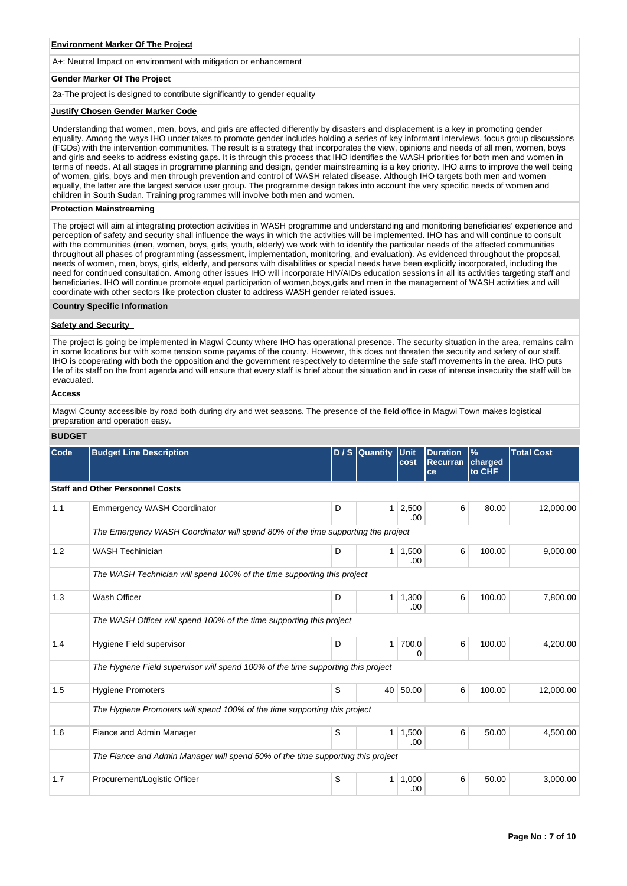#### **Environment Marker Of The Project**

A+: Neutral Impact on environment with mitigation or enhancement

#### **Gender Marker Of The Project**

2a-The project is designed to contribute significantly to gender equality

#### **Justify Chosen Gender Marker Code**

Understanding that women, men, boys, and girls are affected differently by disasters and displacement is a key in promoting gender equality. Among the ways IHO under takes to promote gender includes holding a series of key informant interviews, focus group discussions (FGDs) with the intervention communities. The result is a strategy that incorporates the view, opinions and needs of all men, women, boys and girls and seeks to address existing gaps. It is through this process that IHO identifies the WASH priorities for both men and women in terms of needs. At all stages in programme planning and design, gender mainstreaming is a key priority. IHO aims to improve the well being of women, girls, boys and men through prevention and control of WASH related disease. Although IHO targets both men and women equally, the latter are the largest service user group. The programme design takes into account the very specific needs of women and children in South Sudan. Training programmes will involve both men and women.

#### **Protection Mainstreaming**

The project will aim at integrating protection activities in WASH programme and understanding and monitoring beneficiaries' experience and perception of safety and security shall influence the ways in which the activities will be implemented. IHO has and will continue to consult with the communities (men, women, boys, girls, youth, elderly) we work with to identify the particular needs of the affected communities throughout all phases of programming (assessment, implementation, monitoring, and evaluation). As evidenced throughout the proposal, needs of women, men, boys, girls, elderly, and persons with disabilities or special needs have been explicitly incorporated, including the need for continued consultation. Among other issues IHO will incorporate HIV/AIDs education sessions in all its activities targeting staff and beneficiaries. IHO will continue promote equal participation of women,boys,girls and men in the management of WASH activities and will coordinate with other sectors like protection cluster to address WASH gender related issues.

#### **Country Specific Information**

#### **Safety and Security**

The project is going be implemented in Magwi County where IHO has operational presence. The security situation in the area, remains calm in some locations but with some tension some payams of the county. However, this does not threaten the security and safety of our staff. IHO is cooperating with both the opposition and the government respectively to determine the safe staff movements in the area. IHO puts life of its staff on the front agenda and will ensure that every staff is brief about the situation and in case of intense insecurity the staff will be evacuated.

#### **Access**

Magwi County accessible by road both during dry and wet seasons. The presence of the field office in Magwi Town makes logistical preparation and operation easy.

| <b>BUDGET</b> |  |
|---------------|--|
|               |  |

| Code | <b>Budget Line Description</b>                                                   |   | D / S Quantity Unit | cost         | <b>Duration</b><br><b>Recurran</b><br>ce | $\frac{9}{6}$<br>charged<br>to CHF | <b>Total Cost</b> |
|------|----------------------------------------------------------------------------------|---|---------------------|--------------|------------------------------------------|------------------------------------|-------------------|
|      | <b>Staff and Other Personnel Costs</b>                                           |   |                     |              |                                          |                                    |                   |
| 1.1  | <b>Emmergency WASH Coordinator</b>                                               | D | $\mathbf{1}$        | 2,500<br>.00 | 6                                        | 80.00                              | 12,000.00         |
|      | The Emergency WASH Coordinator will spend 80% of the time supporting the project |   |                     |              |                                          |                                    |                   |
| 1.2  | <b>WASH Techinician</b>                                                          | D | 1 <sup>1</sup>      | 1,500<br>.00 | 6                                        | 100.00                             | 9,000.00          |
|      | The WASH Technician will spend 100% of the time supporting this project          |   |                     |              |                                          |                                    |                   |
| 1.3  | Wash Officer                                                                     | D | 1 <sup>1</sup>      | 1,300<br>.00 | 6                                        | 100.00                             | 7,800.00          |
|      | The WASH Officer will spend 100% of the time supporting this project             |   |                     |              |                                          |                                    |                   |
| 1.4  | Hygiene Field supervisor                                                         | D | 1                   | 700.0<br>0   | 6                                        | 100.00                             | 4,200.00          |
|      | The Hygiene Field supervisor will spend 100% of the time supporting this project |   |                     |              |                                          |                                    |                   |
| 1.5  | <b>Hygiene Promoters</b>                                                         | S | 40                  | 50.00        | 6                                        | 100.00                             | 12.000.00         |
|      | The Hygiene Promoters will spend 100% of the time supporting this project        |   |                     |              |                                          |                                    |                   |
| 1.6  | Fiance and Admin Manager                                                         | S | 1 <sup>1</sup>      | 1,500<br>.00 | 6                                        | 50.00                              | 4,500.00          |
|      | The Fiance and Admin Manager will spend 50% of the time supporting this project  |   |                     |              |                                          |                                    |                   |
| 1.7  | Procurement/Logistic Officer                                                     | S | $\mathbf{1}$        | 1,000<br>.00 | 6                                        | 50.00                              | 3.000.00          |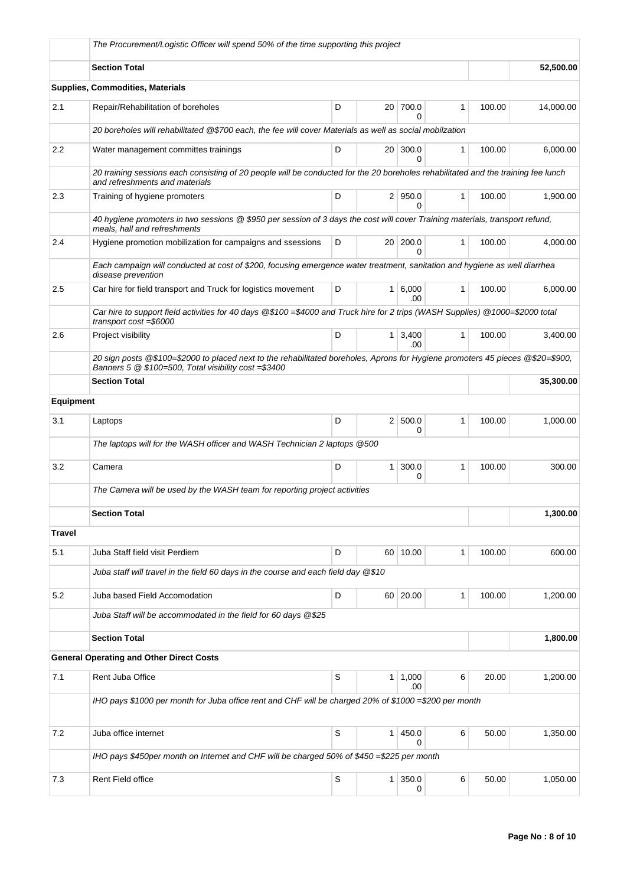|                  | The Procurement/Logistic Officer will spend 50% of the time supporting this project                                                                                                    |   |                 |                    |              |        |           |
|------------------|----------------------------------------------------------------------------------------------------------------------------------------------------------------------------------------|---|-----------------|--------------------|--------------|--------|-----------|
|                  | <b>Section Total</b>                                                                                                                                                                   |   |                 |                    |              |        | 52,500.00 |
|                  | <b>Supplies, Commodities, Materials</b>                                                                                                                                                |   |                 |                    |              |        |           |
| 2.1              | Repair/Rehabilitation of boreholes                                                                                                                                                     | D | 20 <sup>1</sup> | 700.0<br>0         | 1            | 100.00 | 14,000.00 |
|                  | 20 boreholes will rehabilitated @\$700 each, the fee will cover Materials as well as social mobilzation                                                                                |   |                 |                    |              |        |           |
| 2.2              | Water management committes trainings                                                                                                                                                   | D | 20 <sup>1</sup> | 300.0<br>$\Omega$  | 1            | 100.00 | 6,000.00  |
|                  | 20 training sessions each consisting of 20 people will be conducted for the 20 boreholes rehabilitated and the training fee lunch<br>and refreshments and materials                    |   |                 |                    |              |        |           |
| 2.3              | Training of hygiene promoters                                                                                                                                                          | D |                 | 2   950.0<br>0     | $\mathbf{1}$ | 100.00 | 1,900.00  |
|                  | 40 hygiene promoters in two sessions @ \$950 per session of 3 days the cost will cover Training materials, transport refund,<br>meals, hall and refreshments                           |   |                 |                    |              |        |           |
| 2.4              | Hygiene promotion mobilization for campaigns and ssessions                                                                                                                             | D | 20 <sup>1</sup> | 200.0<br>0         | $\mathbf{1}$ | 100.00 | 4,000.00  |
|                  | Each campaign will conducted at cost of \$200, focusing emergence water treatment, sanitation and hygiene as well diarrhea<br>disease prevention                                       |   |                 |                    |              |        |           |
| 2.5              | Car hire for field transport and Truck for logistics movement                                                                                                                          | D |                 | $1 \ 6,000$<br>.00 | 1            | 100.00 | 6,000.00  |
|                  | Car hire to support field activities for 40 days @\$100 =\$4000 and Truck hire for 2 trips (WASH Supplies) @1000=\$2000 total<br>transport cost =\$6000                                |   |                 |                    |              |        |           |
| 2.6              | Project visibility                                                                                                                                                                     | D | 1 <sup>1</sup>  | 3,400<br>.00       | $\mathbf{1}$ | 100.00 | 3,400.00  |
|                  | 20 sign posts @\$100=\$2000 to placed next to the rehabilitated boreholes, Aprons for Hygiene promoters 45 pieces @\$20=\$900,<br>Banners 5 @ \$100=500, Total visibility cost =\$3400 |   |                 |                    |              |        |           |
|                  | <b>Section Total</b>                                                                                                                                                                   |   |                 |                    |              |        | 35,300.00 |
| <b>Equipment</b> |                                                                                                                                                                                        |   |                 |                    |              |        |           |
| 3.1              | Laptops                                                                                                                                                                                | D | 2 <sup>1</sup>  | 500.0<br>0         | 1            | 100.00 | 1,000.00  |
|                  | The laptops will for the WASH officer and WASH Technician 2 laptops @500                                                                                                               |   |                 |                    |              |        |           |
| 3.2              | Camera                                                                                                                                                                                 | D | $\mathbf{1}$    | 300.0<br>0         | 1            | 100.00 | 300.00    |
|                  | The Camera will be used by the WASH team for reporting project activities                                                                                                              |   |                 |                    |              |        |           |
|                  | <b>Section Total</b>                                                                                                                                                                   |   |                 |                    |              |        | 1,300.00  |
| <b>Travel</b>    |                                                                                                                                                                                        |   |                 |                    |              |        |           |
| 5.1              | Juba Staff field visit Perdiem                                                                                                                                                         | D |                 | 60 10.00           | 1            | 100.00 | 600.00    |
|                  | Juba staff will travel in the field 60 days in the course and each field day @\$10                                                                                                     |   |                 |                    |              |        |           |
| 5.2              | Juba based Field Accomodation                                                                                                                                                          | D |                 | 60 20.00           | 1            | 100.00 | 1,200.00  |
|                  | Juba Staff will be accommodated in the field for 60 days @\$25                                                                                                                         |   |                 |                    |              |        |           |
|                  | <b>Section Total</b>                                                                                                                                                                   |   |                 |                    |              |        | 1,800.00  |
|                  | <b>General Operating and Other Direct Costs</b>                                                                                                                                        |   |                 |                    |              |        |           |
| 7.1              | Rent Juba Office                                                                                                                                                                       | S | 1 <sup>1</sup>  | 1,000<br>.00       | 6            | 20.00  | 1,200.00  |
|                  | IHO pays \$1000 per month for Juba office rent and CHF will be charged 20% of \$1000=\$200 per month                                                                                   |   |                 |                    |              |        |           |
| 7.2              | Juba office internet                                                                                                                                                                   | S | $\mathbf{1}$    | 450.0              | 6            | 50.00  | 1,350.00  |
|                  | IHO pays \$450per month on Internet and CHF will be charged 50% of \$450 =\$225 per month                                                                                              |   |                 | <sup>0</sup>       |              |        |           |
|                  |                                                                                                                                                                                        |   |                 |                    |              |        |           |
| 7.3              | Rent Field office                                                                                                                                                                      | S | 1 <sup>1</sup>  | 350.0<br>0         | 6            | 50.00  | 1,050.00  |